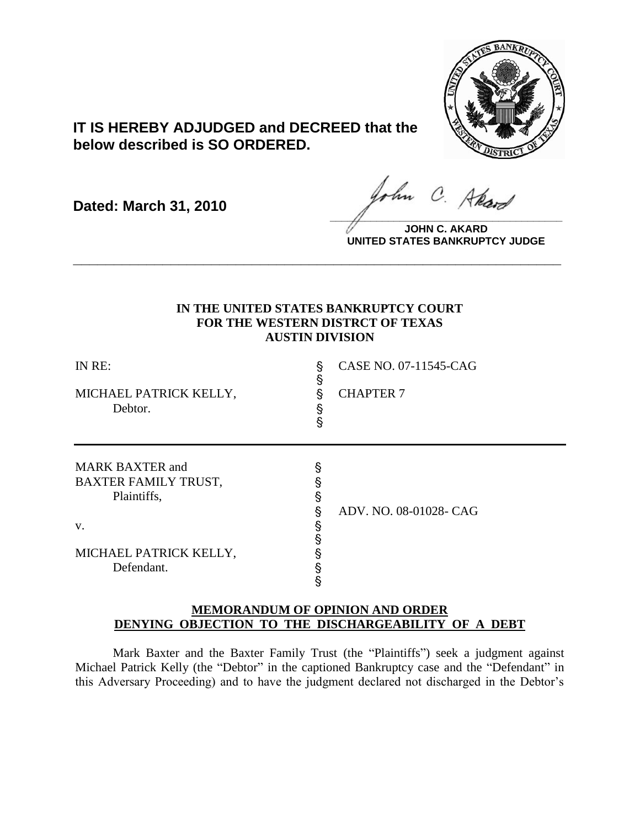

# **IT IS HEREBY ADJUDGED and DECREED that the below described is SO ORDERED.**

**Dated: March 31, 2010**

ohn C. Akard **\_\_\_\_\_\_\_\_\_\_\_\_\_\_\_\_\_\_\_\_\_\_\_\_\_\_\_\_\_\_\_\_\_\_\_\_\_\_\_\_**

**JOHN C. AKARD UNITED STATES BANKRUPTCY JUDGE**

# **IN THE UNITED STATES BANKRUPTCY COURT FOR THE WESTERN DISTRCT OF TEXAS AUSTIN DIVISION**

**\_\_\_\_\_\_\_\_\_\_\_\_\_\_\_\_\_\_\_\_\_\_\_\_\_\_\_\_\_\_\_\_\_\_\_\_\_\_\_\_\_\_\_\_\_\_\_\_\_\_\_\_\_\_\_\_\_\_\_\_**

| IN RE:<br>MICHAEL PATRICK KELLY,<br>Debtor.                                                                        | §<br>§<br>§<br>Ş<br>Ś | CASE NO. 07-11545-CAG<br><b>CHAPTER 7</b> |
|--------------------------------------------------------------------------------------------------------------------|-----------------------|-------------------------------------------|
| <b>MARK BAXTER and</b><br><b>BAXTER FAMILY TRUST,</b><br>Plaintiffs,<br>V.<br>MICHAEL PATRICK KELLY,<br>Defendant. | §<br>§<br>ş<br>§<br>§ | ADV. NO. 08-01028- CAG                    |

# **MEMORANDUM OF OPINION AND ORDER DENYING OBJECTION TO THE DISCHARGEABILITY OF A DEBT**

Mark Baxter and the Baxter Family Trust (the "Plaintiffs") seek a judgment against Michael Patrick Kelly (the "Debtor" in the captioned Bankruptcy case and the "Defendant" in this Adversary Proceeding) and to have the judgment declared not discharged in the Debtor"s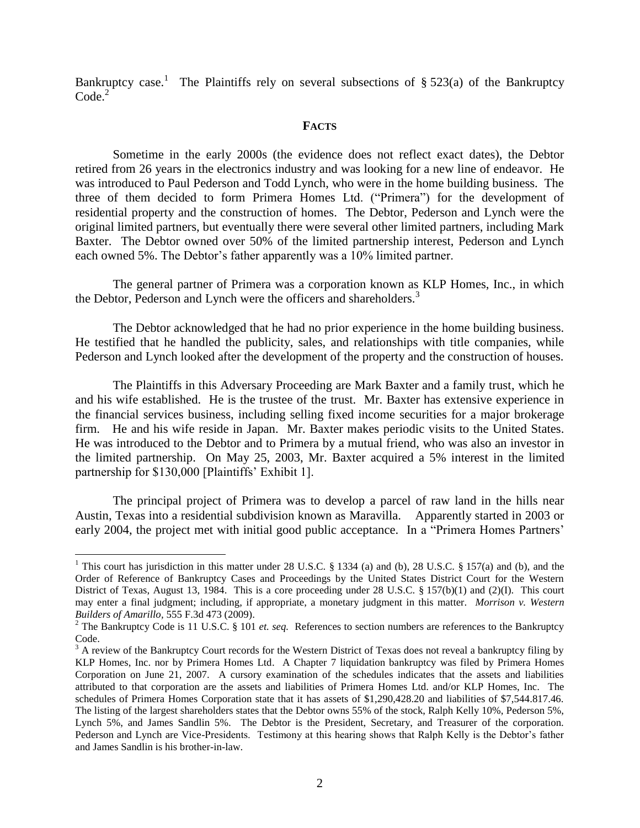Bankruptcy case.<sup>1</sup> The Plaintiffs rely on several subsections of  $\S 523(a)$  of the Bankruptcy Code.<sup>2</sup>

### **FACTS**

Sometime in the early 2000s (the evidence does not reflect exact dates), the Debtor retired from 26 years in the electronics industry and was looking for a new line of endeavor. He was introduced to Paul Pederson and Todd Lynch, who were in the home building business. The three of them decided to form Primera Homes Ltd. ("Primera") for the development of residential property and the construction of homes. The Debtor, Pederson and Lynch were the original limited partners, but eventually there were several other limited partners, including Mark Baxter. The Debtor owned over 50% of the limited partnership interest, Pederson and Lynch each owned 5%. The Debtor's father apparently was a 10% limited partner.

The general partner of Primera was a corporation known as KLP Homes, Inc., in which the Debtor, Pederson and Lynch were the officers and shareholders.<sup>3</sup>

The Debtor acknowledged that he had no prior experience in the home building business. He testified that he handled the publicity, sales, and relationships with title companies, while Pederson and Lynch looked after the development of the property and the construction of houses.

The Plaintiffs in this Adversary Proceeding are Mark Baxter and a family trust, which he and his wife established. He is the trustee of the trust. Mr. Baxter has extensive experience in the financial services business, including selling fixed income securities for a major brokerage firm. He and his wife reside in Japan. Mr. Baxter makes periodic visits to the United States. He was introduced to the Debtor and to Primera by a mutual friend, who was also an investor in the limited partnership. On May 25, 2003, Mr. Baxter acquired a 5% interest in the limited partnership for \$130,000 [Plaintiffs' Exhibit 1].

The principal project of Primera was to develop a parcel of raw land in the hills near Austin, Texas into a residential subdivision known as Maravilla. Apparently started in 2003 or early 2004, the project met with initial good public acceptance. In a "Primera Homes Partners"

 $\overline{a}$ 

<sup>&</sup>lt;sup>1</sup> This court has jurisdiction in this matter under 28 U.S.C. § 1334 (a) and (b), 28 U.S.C. § 157(a) and (b), and the Order of Reference of Bankruptcy Cases and Proceedings by the United States District Court for the Western District of Texas, August 13, 1984. This is a core proceeding under 28 U.S.C. § 157(b)(1) and (2)(I). This court may enter a final judgment; including, if appropriate, a monetary judgment in this matter. *Morrison v. Western Builders of Amarillo,* 555 F.3d 473 (2009).

<sup>&</sup>lt;sup>2</sup> The Bankruptcy Code is 11 U.S.C. § 101 *et. seq.* References to section numbers are references to the Bankruptcy Code.

 $3$  A review of the Bankruptcy Court records for the Western District of Texas does not reveal a bankruptcy filing by KLP Homes, Inc. nor by Primera Homes Ltd. A Chapter 7 liquidation bankruptcy was filed by Primera Homes Corporation on June 21, 2007. A cursory examination of the schedules indicates that the assets and liabilities attributed to that corporation are the assets and liabilities of Primera Homes Ltd. and/or KLP Homes, Inc. The schedules of Primera Homes Corporation state that it has assets of \$1,290,428.20 and liabilities of \$7,544.817.46. The listing of the largest shareholders states that the Debtor owns 55% of the stock, Ralph Kelly 10%, Pederson 5%, Lynch 5%, and James Sandlin 5%. The Debtor is the President, Secretary, and Treasurer of the corporation. Pederson and Lynch are Vice-Presidents. Testimony at this hearing shows that Ralph Kelly is the Debtor's father and James Sandlin is his brother-in-law.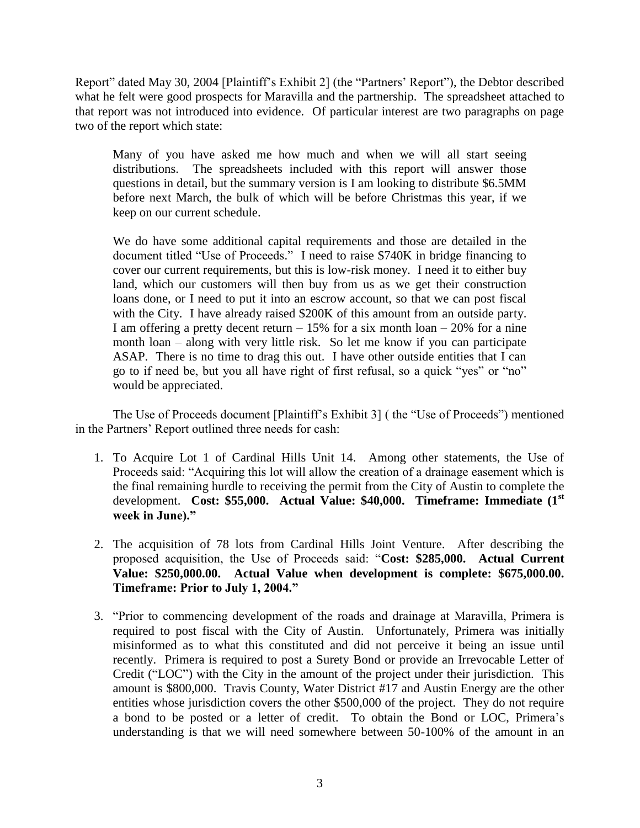Report" dated May 30, 2004 [Plaintiff"s Exhibit 2] (the "Partners" Report"), the Debtor described what he felt were good prospects for Maravilla and the partnership. The spreadsheet attached to that report was not introduced into evidence. Of particular interest are two paragraphs on page two of the report which state:

Many of you have asked me how much and when we will all start seeing distributions. The spreadsheets included with this report will answer those questions in detail, but the summary version is I am looking to distribute \$6.5MM before next March, the bulk of which will be before Christmas this year, if we keep on our current schedule.

We do have some additional capital requirements and those are detailed in the document titled "Use of Proceeds." I need to raise \$740K in bridge financing to cover our current requirements, but this is low-risk money. I need it to either buy land, which our customers will then buy from us as we get their construction loans done, or I need to put it into an escrow account, so that we can post fiscal with the City. I have already raised \$200K of this amount from an outside party. I am offering a pretty decent return  $-15\%$  for a six month loan  $-20\%$  for a nine month loan – along with very little risk. So let me know if you can participate ASAP. There is no time to drag this out. I have other outside entities that I can go to if need be, but you all have right of first refusal, so a quick "yes" or "no" would be appreciated.

The Use of Proceeds document [Plaintiff"s Exhibit 3] ( the "Use of Proceeds") mentioned in the Partners" Report outlined three needs for cash:

- 1. To Acquire Lot 1 of Cardinal Hills Unit 14. Among other statements, the Use of Proceeds said: "Acquiring this lot will allow the creation of a drainage easement which is the final remaining hurdle to receiving the permit from the City of Austin to complete the development. **Cost: \$55,000. Actual Value: \$40,000. Timeframe: Immediate (1st week in June)."**
- 2. The acquisition of 78 lots from Cardinal Hills Joint Venture. After describing the proposed acquisition, the Use of Proceeds said: "**Cost: \$285,000. Actual Current Value: \$250,000.00. Actual Value when development is complete: \$675,000.00. Timeframe: Prior to July 1, 2004."**
- 3. "Prior to commencing development of the roads and drainage at Maravilla, Primera is required to post fiscal with the City of Austin. Unfortunately, Primera was initially misinformed as to what this constituted and did not perceive it being an issue until recently. Primera is required to post a Surety Bond or provide an Irrevocable Letter of Credit ("LOC") with the City in the amount of the project under their jurisdiction. This amount is \$800,000. Travis County, Water District #17 and Austin Energy are the other entities whose jurisdiction covers the other \$500,000 of the project. They do not require a bond to be posted or a letter of credit. To obtain the Bond or LOC, Primera"s understanding is that we will need somewhere between 50-100% of the amount in an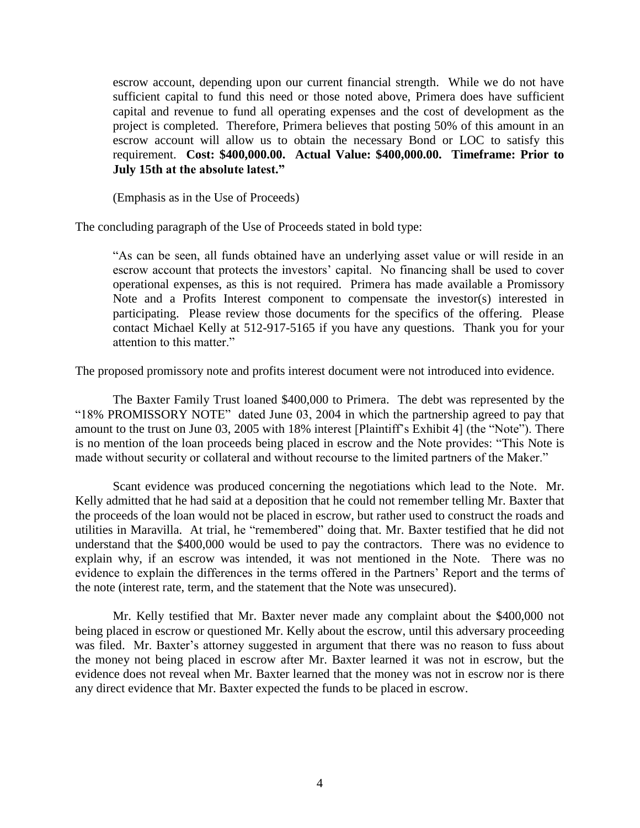escrow account, depending upon our current financial strength. While we do not have sufficient capital to fund this need or those noted above, Primera does have sufficient capital and revenue to fund all operating expenses and the cost of development as the project is completed. Therefore, Primera believes that posting 50% of this amount in an escrow account will allow us to obtain the necessary Bond or LOC to satisfy this requirement. **Cost: \$400,000.00. Actual Value: \$400,000.00. Timeframe: Prior to July 15th at the absolute latest."**

(Emphasis as in the Use of Proceeds)

The concluding paragraph of the Use of Proceeds stated in bold type:

"As can be seen, all funds obtained have an underlying asset value or will reside in an escrow account that protects the investors' capital. No financing shall be used to cover operational expenses, as this is not required. Primera has made available a Promissory Note and a Profits Interest component to compensate the investor(s) interested in participating. Please review those documents for the specifics of the offering. Please contact Michael Kelly at 512-917-5165 if you have any questions. Thank you for your attention to this matter."

The proposed promissory note and profits interest document were not introduced into evidence.

The Baxter Family Trust loaned \$400,000 to Primera. The debt was represented by the "18% PROMISSORY NOTE" dated June 03, 2004 in which the partnership agreed to pay that amount to the trust on June 03, 2005 with 18% interest [Plaintiff"s Exhibit 4] (the "Note"). There is no mention of the loan proceeds being placed in escrow and the Note provides: "This Note is made without security or collateral and without recourse to the limited partners of the Maker."

Scant evidence was produced concerning the negotiations which lead to the Note. Mr. Kelly admitted that he had said at a deposition that he could not remember telling Mr. Baxter that the proceeds of the loan would not be placed in escrow, but rather used to construct the roads and utilities in Maravilla. At trial, he "remembered" doing that. Mr. Baxter testified that he did not understand that the \$400,000 would be used to pay the contractors. There was no evidence to explain why, if an escrow was intended, it was not mentioned in the Note. There was no evidence to explain the differences in the terms offered in the Partners" Report and the terms of the note (interest rate, term, and the statement that the Note was unsecured).

Mr. Kelly testified that Mr. Baxter never made any complaint about the \$400,000 not being placed in escrow or questioned Mr. Kelly about the escrow, until this adversary proceeding was filed. Mr. Baxter's attorney suggested in argument that there was no reason to fuss about the money not being placed in escrow after Mr. Baxter learned it was not in escrow, but the evidence does not reveal when Mr. Baxter learned that the money was not in escrow nor is there any direct evidence that Mr. Baxter expected the funds to be placed in escrow.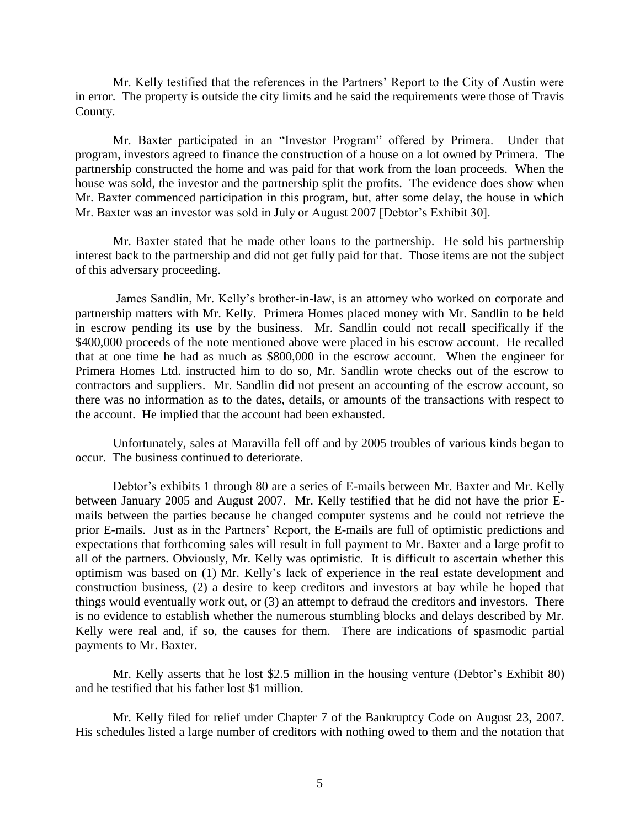Mr. Kelly testified that the references in the Partners" Report to the City of Austin were in error. The property is outside the city limits and he said the requirements were those of Travis County.

Mr. Baxter participated in an "Investor Program" offered by Primera. Under that program, investors agreed to finance the construction of a house on a lot owned by Primera. The partnership constructed the home and was paid for that work from the loan proceeds. When the house was sold, the investor and the partnership split the profits. The evidence does show when Mr. Baxter commenced participation in this program, but, after some delay, the house in which Mr. Baxter was an investor was sold in July or August 2007 [Debtor"s Exhibit 30].

Mr. Baxter stated that he made other loans to the partnership. He sold his partnership interest back to the partnership and did not get fully paid for that. Those items are not the subject of this adversary proceeding.

James Sandlin, Mr. Kelly"s brother-in-law, is an attorney who worked on corporate and partnership matters with Mr. Kelly. Primera Homes placed money with Mr. Sandlin to be held in escrow pending its use by the business. Mr. Sandlin could not recall specifically if the \$400,000 proceeds of the note mentioned above were placed in his escrow account. He recalled that at one time he had as much as \$800,000 in the escrow account. When the engineer for Primera Homes Ltd. instructed him to do so, Mr. Sandlin wrote checks out of the escrow to contractors and suppliers. Mr. Sandlin did not present an accounting of the escrow account, so there was no information as to the dates, details, or amounts of the transactions with respect to the account. He implied that the account had been exhausted.

Unfortunately, sales at Maravilla fell off and by 2005 troubles of various kinds began to occur. The business continued to deteriorate.

Debtor's exhibits 1 through 80 are a series of E-mails between Mr. Baxter and Mr. Kelly between January 2005 and August 2007. Mr. Kelly testified that he did not have the prior Emails between the parties because he changed computer systems and he could not retrieve the prior E-mails. Just as in the Partners" Report, the E-mails are full of optimistic predictions and expectations that forthcoming sales will result in full payment to Mr. Baxter and a large profit to all of the partners. Obviously, Mr. Kelly was optimistic. It is difficult to ascertain whether this optimism was based on (1) Mr. Kelly"s lack of experience in the real estate development and construction business, (2) a desire to keep creditors and investors at bay while he hoped that things would eventually work out, or (3) an attempt to defraud the creditors and investors. There is no evidence to establish whether the numerous stumbling blocks and delays described by Mr. Kelly were real and, if so, the causes for them. There are indications of spasmodic partial payments to Mr. Baxter.

Mr. Kelly asserts that he lost \$2.5 million in the housing venture (Debtor"s Exhibit 80) and he testified that his father lost \$1 million.

Mr. Kelly filed for relief under Chapter 7 of the Bankruptcy Code on August 23, 2007. His schedules listed a large number of creditors with nothing owed to them and the notation that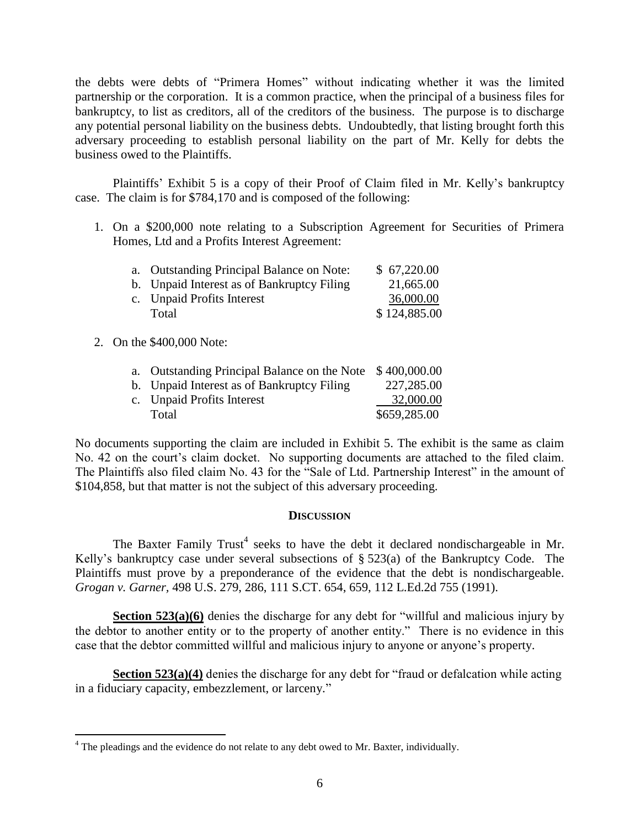the debts were debts of "Primera Homes" without indicating whether it was the limited partnership or the corporation. It is a common practice, when the principal of a business files for bankruptcy, to list as creditors, all of the creditors of the business. The purpose is to discharge any potential personal liability on the business debts. Undoubtedly, that listing brought forth this adversary proceeding to establish personal liability on the part of Mr. Kelly for debts the business owed to the Plaintiffs.

Plaintiffs' Exhibit 5 is a copy of their Proof of Claim filed in Mr. Kelly's bankruptcy case. The claim is for \$784,170 and is composed of the following:

1. On a \$200,000 note relating to a Subscription Agreement for Securities of Primera Homes, Ltd and a Profits Interest Agreement:

| a. Outstanding Principal Balance on Note:  | \$67,220.00  |
|--------------------------------------------|--------------|
| b. Unpaid Interest as of Bankruptcy Filing | 21,665.00    |
| c. Unpaid Profits Interest                 | 36,000.00    |
| Total                                      | \$124,885.00 |
|                                            |              |

## 2. On the \$400,000 Note:

 $\overline{a}$ 

| a. Outstanding Principal Balance on the Note \$400,000.00 |              |
|-----------------------------------------------------------|--------------|
| b. Unpaid Interest as of Bankruptcy Filing                | 227,285.00   |
| c. Unpaid Profits Interest                                | 32,000.00    |
| Total                                                     | \$659,285.00 |

No documents supporting the claim are included in Exhibit 5. The exhibit is the same as claim No. 42 on the court's claim docket. No supporting documents are attached to the filed claim. The Plaintiffs also filed claim No. 43 for the "Sale of Ltd. Partnership Interest" in the amount of \$104,858, but that matter is not the subject of this adversary proceeding.

#### **DISCUSSION**

The Baxter Family Trust<sup>4</sup> seeks to have the debt it declared nondischargeable in Mr. Kelly"s bankruptcy case under several subsections of § 523(a) of the Bankruptcy Code. The Plaintiffs must prove by a preponderance of the evidence that the debt is nondischargeable. *Grogan v. Garner,* 498 U.S. 279, 286, 111 S.CT. 654, 659, 112 L.Ed.2d 755 (1991).

**Section 523(a)(6)** denies the discharge for any debt for "willful and malicious injury by the debtor to another entity or to the property of another entity." There is no evidence in this case that the debtor committed willful and malicious injury to anyone or anyone"s property.

**Section 523(a)(4)** denies the discharge for any debt for "fraud or defalcation while acting in a fiduciary capacity, embezzlement, or larceny."

 $4$  The pleadings and the evidence do not relate to any debt owed to Mr. Baxter, individually.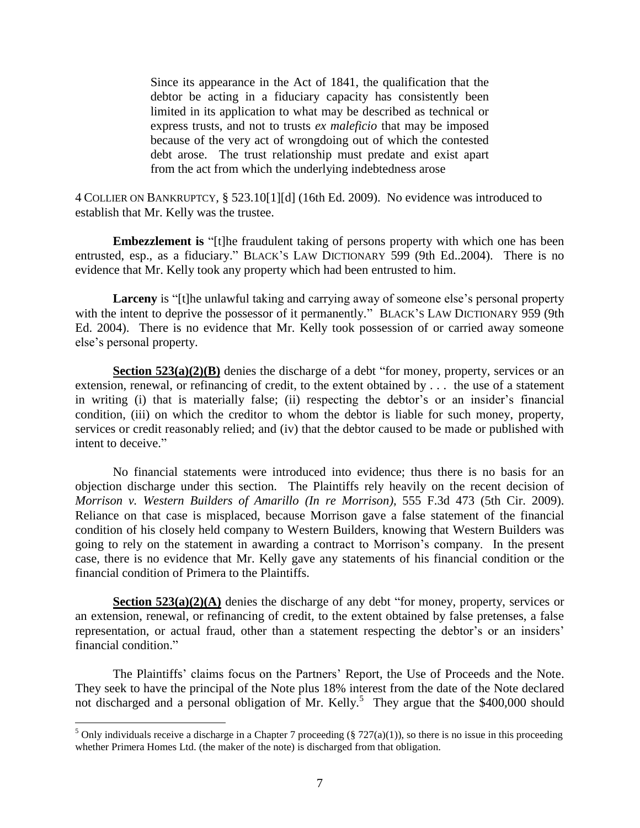Since its appearance in the Act of 1841, the qualification that the debtor be acting in a fiduciary capacity has consistently been limited in its application to what may be described as technical or express trusts, and not to trusts *ex maleficio* that may be imposed because of the very act of wrongdoing out of which the contested debt arose. The trust relationship must predate and exist apart from the act from which the underlying indebtedness arose

4 COLLIER ON BANKRUPTCY*,* § 523.10[1][d] (16th Ed. 2009). No evidence was introduced to establish that Mr. Kelly was the trustee.

**Embezzlement is** "[t]he fraudulent taking of persons property with which one has been entrusted, esp., as a fiduciary." BLACK's LAW DICTIONARY 599 (9th Ed. 2004). There is no evidence that Mr. Kelly took any property which had been entrusted to him.

Larceny is "[t]he unlawful taking and carrying away of someone else's personal property with the intent to deprive the possessor of it permanently." BLACK's LAW DICTIONARY 959 (9th Ed. 2004). There is no evidence that Mr. Kelly took possession of or carried away someone else"s personal property.

**Section 523(a)(2)(B)** denies the discharge of a debt "for money, property, services or an extension, renewal, or refinancing of credit, to the extent obtained by . . . the use of a statement in writing (i) that is materially false; (ii) respecting the debtor's or an insider's financial condition, (iii) on which the creditor to whom the debtor is liable for such money, property, services or credit reasonably relied; and (iv) that the debtor caused to be made or published with intent to deceive."

No financial statements were introduced into evidence; thus there is no basis for an objection discharge under this section. The Plaintiffs rely heavily on the recent decision of *Morrison v. Western Builders of Amarillo (In re Morrison),* 555 F.3d 473 (5th Cir. 2009). Reliance on that case is misplaced, because Morrison gave a false statement of the financial condition of his closely held company to Western Builders, knowing that Western Builders was going to rely on the statement in awarding a contract to Morrison"s company. In the present case, there is no evidence that Mr. Kelly gave any statements of his financial condition or the financial condition of Primera to the Plaintiffs.

**Section 523(a)(2)(A)** denies the discharge of any debt "for money, property, services or an extension, renewal, or refinancing of credit, to the extent obtained by false pretenses, a false representation, or actual fraud, other than a statement respecting the debtor's or an insiders' financial condition."

The Plaintiffs' claims focus on the Partners' Report, the Use of Proceeds and the Note. They seek to have the principal of the Note plus 18% interest from the date of the Note declared not discharged and a personal obligation of Mr. Kelly.<sup>5</sup> They argue that the \$400,000 should

 $\overline{a}$ 

<sup>&</sup>lt;sup>5</sup> Only individuals receive a discharge in a Chapter 7 proceeding (§ 727(a)(1)), so there is no issue in this proceeding whether Primera Homes Ltd. (the maker of the note) is discharged from that obligation.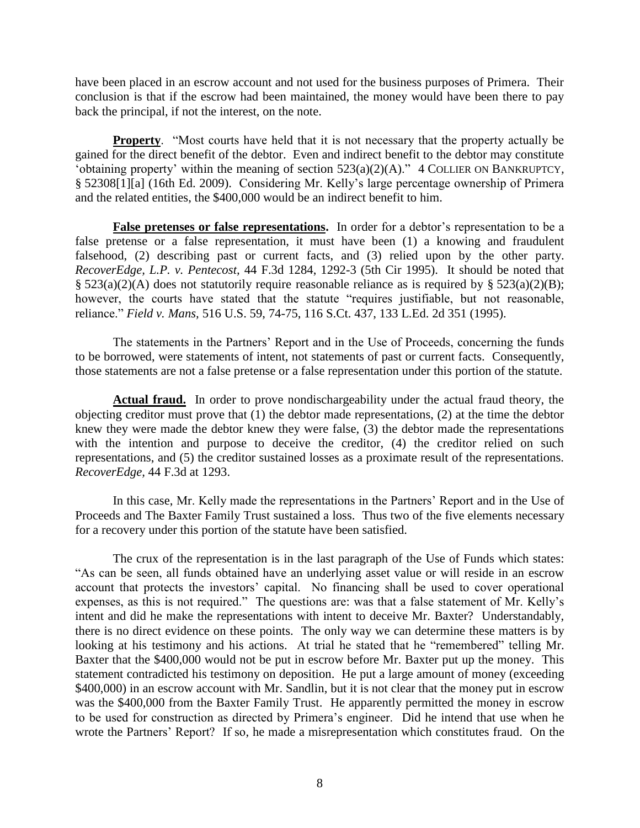have been placed in an escrow account and not used for the business purposes of Primera. Their conclusion is that if the escrow had been maintained, the money would have been there to pay back the principal, if not the interest, on the note.

**Property.** "Most courts have held that it is not necessary that the property actually be gained for the direct benefit of the debtor. Even and indirect benefit to the debtor may constitute "obtaining property' within the meaning of section  $523(a)(2)(A)$ ." 4 COLLIER ON BANKRUPTCY, § 52308[1][a] (16th Ed. 2009). Considering Mr. Kelly"s large percentage ownership of Primera and the related entities, the \$400,000 would be an indirect benefit to him.

False pretenses or false representations. In order for a debtor's representation to be a false pretense or a false representation, it must have been (1) a knowing and fraudulent falsehood, (2) describing past or current facts, and (3) relied upon by the other party. *RecoverEdge, L.P. v. Pentecost,* 44 F.3d 1284, 1292-3 (5th Cir 1995). It should be noted that §  $523(a)(2)(A)$  does not statutorily require reasonable reliance as is required by §  $523(a)(2)(B)$ ; however, the courts have stated that the statute "requires justifiable, but not reasonable, reliance." *Field v. Mans,* 516 U.S. 59, 74-75, 116 S.Ct. 437, 133 L.Ed. 2d 351 (1995).

The statements in the Partners' Report and in the Use of Proceeds, concerning the funds to be borrowed, were statements of intent, not statements of past or current facts. Consequently, those statements are not a false pretense or a false representation under this portion of the statute.

**Actual fraud.** In order to prove nondischargeability under the actual fraud theory, the objecting creditor must prove that  $(1)$  the debtor made representations,  $(2)$  at the time the debtor knew they were made the debtor knew they were false, (3) the debtor made the representations with the intention and purpose to deceive the creditor, (4) the creditor relied on such representations, and (5) the creditor sustained losses as a proximate result of the representations. *RecoverEdge,* 44 F.3d at 1293.

In this case, Mr. Kelly made the representations in the Partners" Report and in the Use of Proceeds and The Baxter Family Trust sustained a loss. Thus two of the five elements necessary for a recovery under this portion of the statute have been satisfied.

The crux of the representation is in the last paragraph of the Use of Funds which states: "As can be seen, all funds obtained have an underlying asset value or will reside in an escrow account that protects the investors' capital. No financing shall be used to cover operational expenses, as this is not required." The questions are: was that a false statement of Mr. Kelly"s intent and did he make the representations with intent to deceive Mr. Baxter? Understandably, there is no direct evidence on these points. The only way we can determine these matters is by looking at his testimony and his actions. At trial he stated that he "remembered" telling Mr. Baxter that the \$400,000 would not be put in escrow before Mr. Baxter put up the money. This statement contradicted his testimony on deposition. He put a large amount of money (exceeding \$400,000) in an escrow account with Mr. Sandlin, but it is not clear that the money put in escrow was the \$400,000 from the Baxter Family Trust. He apparently permitted the money in escrow to be used for construction as directed by Primera"s engineer. Did he intend that use when he wrote the Partners' Report? If so, he made a misrepresentation which constitutes fraud. On the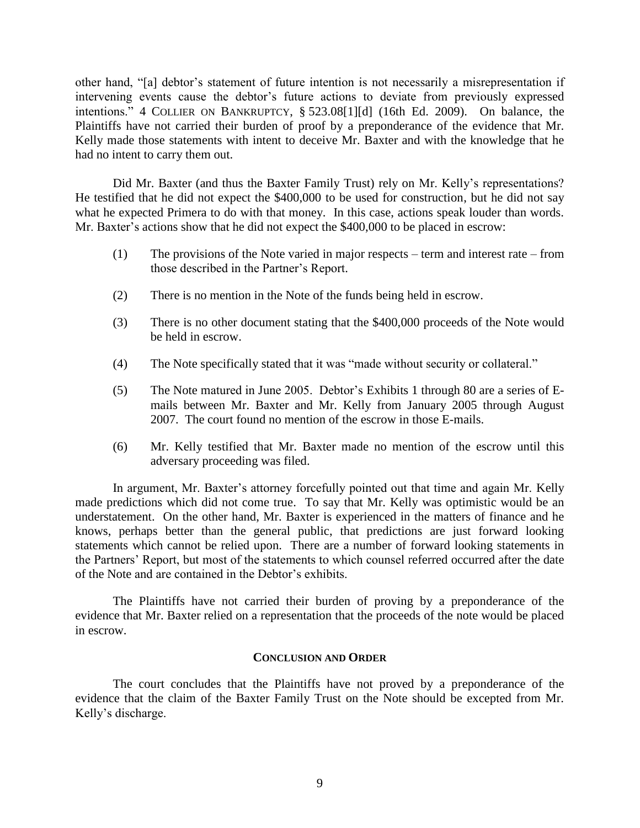other hand, "[a] debtor"s statement of future intention is not necessarily a misrepresentation if intervening events cause the debtor's future actions to deviate from previously expressed intentions." 4 COLLIER ON BANKRUPTCY, § 523.08[1][d] (16th Ed. 2009). On balance, the Plaintiffs have not carried their burden of proof by a preponderance of the evidence that Mr. Kelly made those statements with intent to deceive Mr. Baxter and with the knowledge that he had no intent to carry them out.

Did Mr. Baxter (and thus the Baxter Family Trust) rely on Mr. Kelly"s representations? He testified that he did not expect the \$400,000 to be used for construction, but he did not say what he expected Primera to do with that money. In this case, actions speak louder than words. Mr. Baxter's actions show that he did not expect the \$400,000 to be placed in escrow:

- (1) The provisions of the Note varied in major respects term and interest rate from those described in the Partner"s Report.
- (2) There is no mention in the Note of the funds being held in escrow.
- (3) There is no other document stating that the \$400,000 proceeds of the Note would be held in escrow.
- (4) The Note specifically stated that it was "made without security or collateral."
- (5) The Note matured in June 2005. Debtor"s Exhibits 1 through 80 are a series of Emails between Mr. Baxter and Mr. Kelly from January 2005 through August 2007. The court found no mention of the escrow in those E-mails.
- (6) Mr. Kelly testified that Mr. Baxter made no mention of the escrow until this adversary proceeding was filed.

In argument, Mr. Baxter's attorney forcefully pointed out that time and again Mr. Kelly made predictions which did not come true. To say that Mr. Kelly was optimistic would be an understatement. On the other hand, Mr. Baxter is experienced in the matters of finance and he knows, perhaps better than the general public, that predictions are just forward looking statements which cannot be relied upon. There are a number of forward looking statements in the Partners' Report, but most of the statements to which counsel referred occurred after the date of the Note and are contained in the Debtor"s exhibits.

The Plaintiffs have not carried their burden of proving by a preponderance of the evidence that Mr. Baxter relied on a representation that the proceeds of the note would be placed in escrow.

#### **CONCLUSION AND ORDER**

The court concludes that the Plaintiffs have not proved by a preponderance of the evidence that the claim of the Baxter Family Trust on the Note should be excepted from Mr. Kelly"s discharge.